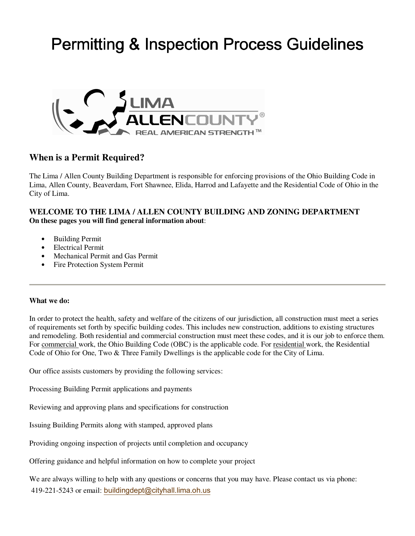# Permitting & Inspection Process Guidelines



# **When is a Permit Required?**

The Lima / Allen County Building Department is responsible for enforcing provisions of the Ohio Building Code in Lima, Allen County, Beaverdam, Fort Shawnee, Elida, Harrod and Lafayette and the Residential Code of Ohio in the City of Lima.

## **WELCOME TO THE LIMA / ALLEN COUNTY BUILDING AND ZONING DEPARTMENT On these pages you will find general information about**:

- Building Permit
- Electrical Permit
- Mechanical Permit and Gas Permit
- Fire Protection System Permit

#### **What we do:**

In order to protect the health, safety and welfare of the citizens of our jurisdiction, all construction must meet a series of requirements set forth by specific building codes. This includes new construction, additions to existing structures and remodeling. Both residential and commercial construction must meet these codes, and it is our job to enforce them. For commercial work, the Ohio Building Code (OBC) is the applicable code. For residential work, the Residential Code of Ohio for One, Two & Three Family Dwellings is the applicable code for the City of Lima.

Our office assists customers by providing the following services:

Processing Building Permit applications and payments

Reviewing and approving plans and specifications for construction

Issuing Building Permits along with stamped, approved plans

Providing ongoing inspection of projects until completion and occupancy

Offering guidance and helpful information on how to complete your project

We are always willing to help with any questions or concerns that you may have. Please contact us via phone: 419-221-5243 or email: buildingdept@cityhall.lima.oh.us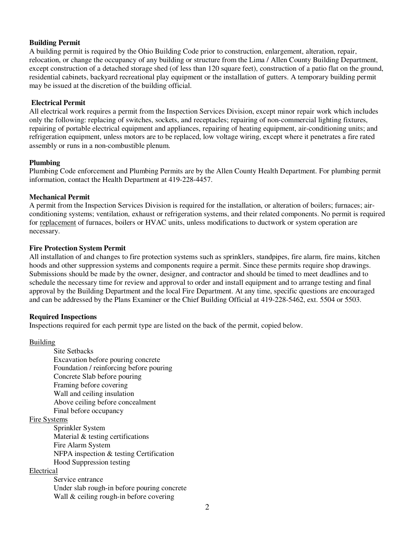#### **Building Permit**

A building permit is required by the Ohio Building Code prior to construction, enlargement, alteration, repair, relocation, or change the occupancy of any building or structure from the Lima / Allen County Building Department, except construction of a detached storage shed (of less than 120 square feet), construction of a patio flat on the ground, residential cabinets, backyard recreational play equipment or the installation of gutters. A temporary building permit may be issued at the discretion of the building official.

#### **Electrical Permit**

All electrical work requires a permit from the Inspection Services Division, except minor repair work which includes only the following: replacing of switches, sockets, and receptacles; repairing of non-commercial lighting fixtures, repairing of portable electrical equipment and appliances, repairing of heating equipment, air-conditioning units; and refrigeration equipment, unless motors are to be replaced, low voltage wiring, except where it penetrates a fire rated assembly or runs in a non-combustible plenum.

#### **Plumbing**

Plumbing Code enforcement and Plumbing Permits are by the Allen County Health Department. For plumbing permit information, contact the Health Department at 419-228-4457.

#### **Mechanical Permit**

A permit from the Inspection Services Division is required for the installation, or alteration of boilers; furnaces; airconditioning systems; ventilation, exhaust or refrigeration systems, and their related components. No permit is required for replacement of furnaces, boilers or HVAC units, unless modifications to ductwork or system operation are necessary.

#### **Fire Protection System Permit**

All installation of and changes to fire protection systems such as sprinklers, standpipes, fire alarm, fire mains, kitchen hoods and other suppression systems and components require a permit. Since these permits require shop drawings. Submissions should be made by the owner, designer, and contractor and should be timed to meet deadlines and to schedule the necessary time for review and approval to order and install equipment and to arrange testing and final approval by the Building Department and the local Fire Department. At any time, specific questions are encouraged and can be addressed by the Plans Examiner or the Chief Building Official at 419-228-5462, ext. 5504 or 5503.

### **Required Inspections**

Inspections required for each permit type are listed on the back of the permit, copied below.

#### Building

 Site Setbacks Excavation before pouring concrete Foundation / reinforcing before pouring Concrete Slab before pouring Framing before covering Wall and ceiling insulation Above ceiling before concealment Final before occupancy

#### Fire Systems

Sprinkler System Material & testing certifications Fire Alarm System NFPA inspection & testing Certification Hood Suppression testing

#### Electrical

Service entrance Under slab rough-in before pouring concrete Wall & ceiling rough-in before covering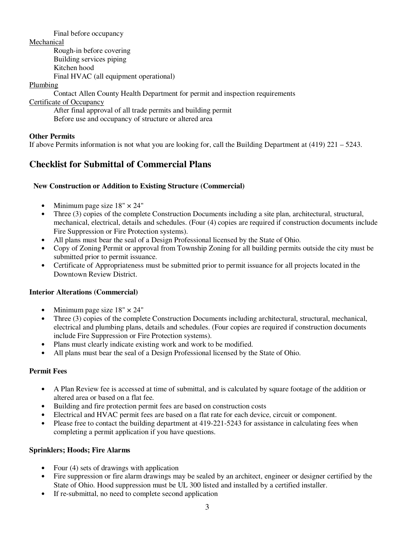Final before occupancy

Mechanical

Rough-in before covering Building services piping Kitchen hood Final HVAC (all equipment operational)

Plumbing

Contact Allen County Health Department for permit and inspection requirements

Certificate of Occupancy

After final approval of all trade permits and building permit Before use and occupancy of structure or altered area

# **Other Permits**

If above Permits information is not what you are looking for, call the Building Department at (419) 221 – 5243.

# **Checklist for Submittal of Commercial Plans**

### **New Construction or Addition to Existing Structure (Commercial)**

- Minimum page size  $18" \times 24"$
- Three (3) copies of the complete Construction Documents including a site plan, architectural, structural, mechanical, electrical, details and schedules. (Four (4) copies are required if construction documents include Fire Suppression or Fire Protection systems).
- All plans must bear the seal of a Design Professional licensed by the State of Ohio.
- Copy of Zoning Permit or approval from Township Zoning for all building permits outside the city must be submitted prior to permit issuance.
- Certificate of Appropriateness must be submitted prior to permit issuance for all projects located in the Downtown Review District.

# **Interior Alterations (Commercial)**

- Minimum page size  $18" \times 24"$
- Three (3) copies of the complete Construction Documents including architectural, structural, mechanical, electrical and plumbing plans, details and schedules. (Four copies are required if construction documents include Fire Suppression or Fire Protection systems).
- Plans must clearly indicate existing work and work to be modified.
- All plans must bear the seal of a Design Professional licensed by the State of Ohio.

### **Permit Fees**

- A Plan Review fee is accessed at time of submittal, and is calculated by square footage of the addition or altered area or based on a flat fee.
- Building and fire protection permit fees are based on construction costs
- Electrical and HVAC permit fees are based on a flat rate for each device, circuit or component.
- Please free to contact the building department at 419-221-5243 for assistance in calculating fees when completing a permit application if you have questions.

# **Sprinklers; Hoods; Fire Alarms**

- Four (4) sets of drawings with application
- Fire suppression or fire alarm drawings may be sealed by an architect, engineer or designer certified by the State of Ohio. Hood suppression must be UL 300 listed and installed by a certified installer.
- If re-submittal, no need to complete second application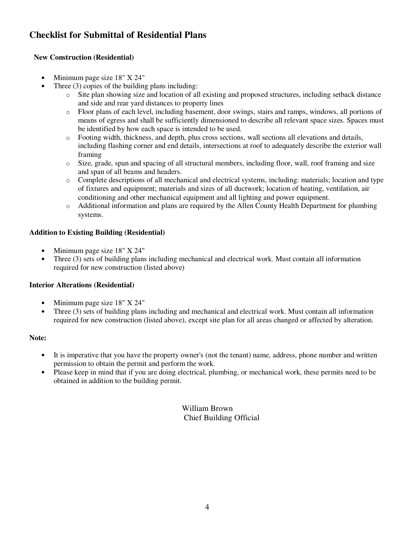# **Checklist for Submittal of Residential Plans**

## **New Construction (Residential)**

- Minimum page size 18" X 24"
- Three (3) copies of the building plans including:
	- o Site plan showing size and location of all existing and proposed structures, including setback distance and side and rear yard distances to property lines
	- o Floor plans of each level, including basement, door swings, stairs and ramps, windows, all portions of means of egress and shall be sufficiently dimensioned to describe all relevant space sizes. Spaces must be identified by how each space is intended to be used.
	- o Footing width, thickness, and depth, plus cross sections, wall sections all elevations and details, including flashing corner and end details, intersections at roof to adequately describe the exterior wall framing
	- o Size, grade, span and spacing of all structural members, including floor, wall, roof framing and size and span of all beams and headers.
	- o Complete descriptions of all mechanical and electrical systems, including: materials; location and type of fixtures and equipment; materials and sizes of all ductwork; location of heating, ventilation, air conditioning and other mechanical equipment and all lighting and power equipment.
	- o Additional information and plans are required by the Allen County Health Department for plumbing systems.

## **Addition to Existing Building (Residential)**

- Minimum page size 18" X 24"
- Three (3) sets of building plans including mechanical and electrical work. Must contain all information required for new construction (listed above)

# **Interior Alterations (Residential)**

- Minimum page size 18" X 24"
- Three (3) sets of building plans including and mechanical and electrical work. Must contain all information required for new construction (listed above), except site plan for all areas changed or affected by alteration.

### **Note:**

- It is imperative that you have the property owner's (not the tenant) name, address, phone number and written permission to obtain the permit and perform the work.
- Please keep in mind that if you are doing electrical, plumbing, or mechanical work, these permits need to be obtained in addition to the building permit.

William Brown Chief Building Official